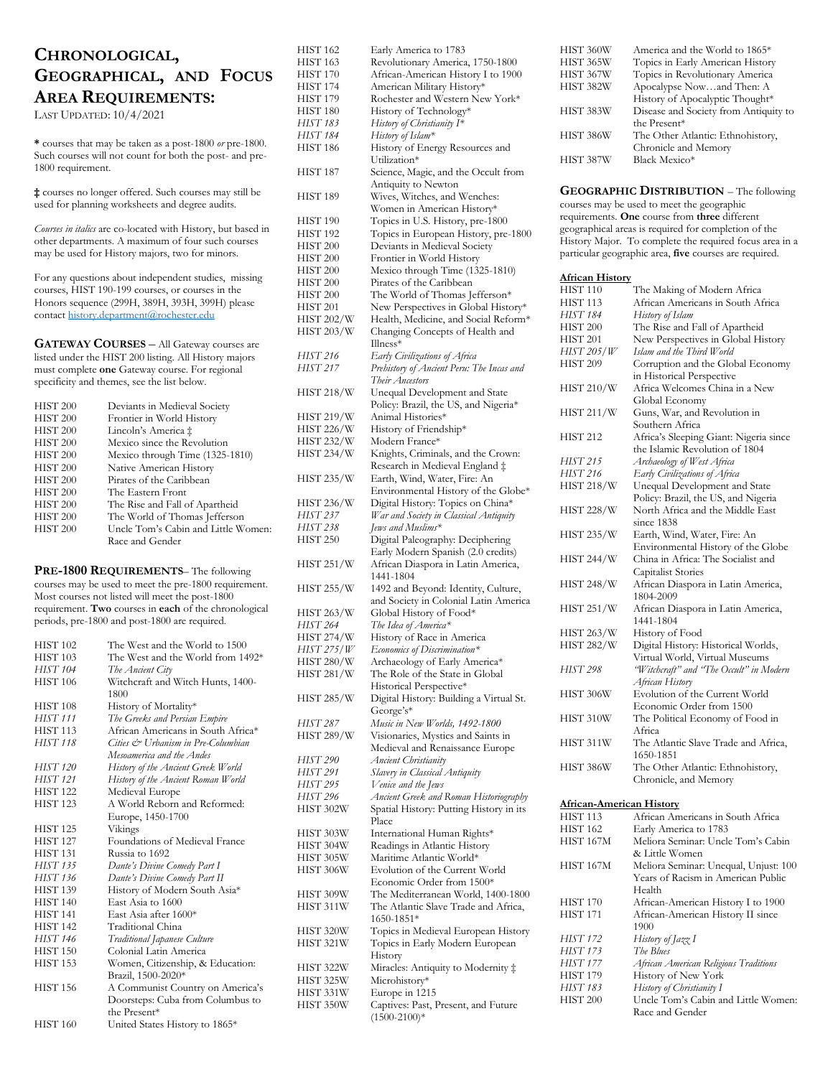# **CHRONOLOGICAL, GEOGRAPHICAL, AND FOCUS AREA REQUIREMENTS:**

LAST UPDATED: 10/4/2021

**\*** courses that may be taken as a post-1800 *or* pre-1800. Such courses will not count for both the post- and pre-1800 requirement.

**‡** courses no longer offered. Such courses may still be used for planning worksheets and degree audits.

*Courses in italics* are co-located with History, but based in other departments. A maximum of four such courses may be used for History majors, two for minors.

For any questions about independent studies, missing courses, HIST 190-199 courses, or courses in the Honors sequence (299H, 389H, 393H, 399H) please contac[t history.department@rochester.edu](mailto:history.department@rochester.edu)

**GATEWAY COURSES** – All Gateway courses are listed under the HIST 200 listing. All History majors must complete **one** Gateway course. For regional specificity and themes, see the list below.

| HIST <sub>200</sub> | Deviants in Medieval Society        |
|---------------------|-------------------------------------|
| HIST <sub>200</sub> | Frontier in World History           |
| HIST <sub>200</sub> | Lincoln's America ‡                 |
| HIST <sub>200</sub> | Mexico since the Revolution         |
| HIST <sub>200</sub> | Mexico through Time (1325-1810)     |
| HIST <sub>200</sub> | Native American History             |
| HIST <sub>200</sub> | Pirates of the Caribbean            |
| HIST <sub>200</sub> | The Eastern Front                   |
| HIST <sub>200</sub> | The Rise and Fall of Apartheid      |
| HIST <sub>200</sub> | The World of Thomas Jefferson       |
| HIST <sub>200</sub> | Uncle Tom's Cabin and Little Women: |
|                     | Race and Gender                     |

**PRE-1800 REQUIREMENTS**– The following courses may be used to meet the pre-1800 requirement. Most courses not listed will meet the post-1800 requirement. **Two** courses in **each** of the chronological periods, pre-1800 and post-1800 are required.

| The West and the World to 1500     |
|------------------------------------|
| The West and the World from 1492*  |
| The Ancient City                   |
| Witchcraft and Witch Hunts, 1400-  |
| 1800                               |
| History of Mortality*              |
| The Greeks and Persian Empire      |
| African Americans in South Africa* |
| Cities & Urbanism in Pre-Columbian |
| Mesoamerica and the Andes          |
| History of the Ancient Greek World |
| History of the Ancient Roman World |
| Medieval Europe                    |
| A World Reborn and Reformed:       |
| Europe, 1450-1700                  |
| Vikings                            |
| Foundations of Medieval France     |
| Russia to 1692                     |
| Dante's Divine Comedy Part I       |
| Dante's Divine Comedy Part II      |
| History of Modern South Asia*      |
| East Asia to 1600                  |
| East Asia after 1600*              |
| Traditional China                  |
| Traditional Japanese Culture       |
| Colonial Latin America             |
| Women, Citizenship, & Education:   |
| Brazil, 1500-2020*                 |
| A Communist Country on America's   |
| Doorsteps: Cuba from Columbus to   |
| the Present*                       |
| United States History to 1865*     |
|                                    |

| <b>HIST 162</b>     | Early America to 1783                                   |
|---------------------|---------------------------------------------------------|
| <b>HIST 163</b>     | Revolutionary America, 1750-1800                        |
| HIST 170            | African-American History I to 1900                      |
| <b>HIST 174</b>     | American Military History*                              |
| HIST 179            | Rochester and Western New York*                         |
| HIST 180            | History of Technology*                                  |
|                     |                                                         |
| HIST 183            | History of Christianity I*                              |
| HIST 184            | History of Islam*                                       |
| HIST 186            | History of Energy Resources and                         |
|                     | Utilization*                                            |
| HIST 187            | Science, Magic, and the Occult from                     |
|                     | Antiquity to Newton                                     |
| HIST <sub>189</sub> | Wives, Witches, and Wenches:                            |
|                     | Women in American History*                              |
| HIST <sub>190</sub> | Topics in U.S. History, pre-1800                        |
| HIST <sub>192</sub> | Topics in European History, pre-1800                    |
| HIST <sub>200</sub> | Deviants in Medieval Society                            |
| <b>HIST 200</b>     | Frontier in World History                               |
| <b>HIST 200</b>     | Mexico through Time (1325-1810)                         |
| <b>HIST 200</b>     | Pirates of the Caribbean                                |
|                     |                                                         |
| HIST <sub>200</sub> | The World of Thomas Jefferson*                          |
| <b>HIST 201</b>     | New Perspectives in Global History*                     |
| <b>HIST 202/W</b>   | Health, Medicine, and Social Reform*                    |
| HIST 203/W          | Changing Concepts of Health and                         |
|                     | Illness*                                                |
| HIST 216            | Early Civilizations of Africa                           |
| HIST 217            | Prehistory of Ancient Peru: The Incas and               |
|                     | Their Ancestors                                         |
| HIST 218/W          | Unequal Development and State                           |
|                     | Policy: Brazil, the US, and Nigeria*                    |
| <b>HIST 219/W</b>   | Animal Histories*                                       |
| <b>HIST 226/W</b>   | History of Friendship*                                  |
| <b>HIST 232/W</b>   | Modern France*                                          |
| <b>HIST 234/W</b>   | Knights, Criminals, and the Crown:                      |
|                     | Research in Medieval England ‡                          |
| HIST 235/W          | Earth, Wind, Water, Fire: An                            |
|                     | Environmental History of the Globe*                     |
| HIST 236/W          |                                                         |
|                     | Digital History: Topics on China*                       |
| HIST 237            | War and Society in Classical Antiquity                  |
| HIST 238            | Jews and Muslims*                                       |
| <b>HIST 250</b>     | Digital Paleography: Deciphering                        |
|                     | Early Modern Spanish (2.0 credits)                      |
| HIST 251/W          | African Diaspora in Latin America,                      |
|                     | 1441-1804                                               |
| <b>HIST 255/W</b>   | 1492 and Beyond: Identity, Culture,                     |
|                     | and Society in Colonial Latin America                   |
|                     |                                                         |
| <b>HIST 263/W</b>   | Global History of Food*                                 |
| <b>HIST 264</b>     | The Idea of America*                                    |
| HIST 274/W          | History of Race in America                              |
| <i>HIST 275/W</i>   | Economics of Discrimination*                            |
|                     |                                                         |
| HIST 280/W          | Archaeology of Early America*                           |
| <b>HIST 281/W</b>   | The Role of the State in Global                         |
|                     | Historical Perspective*                                 |
| <b>HIST 285/W</b>   | Digital History: Building a Virtual St.                 |
|                     | $George's*$                                             |
| HIST 287            | Music in New Worlds, 1492-1800                          |
| HIST 289/W          | Visionaries, Mystics and Saints in                      |
|                     | Medieval and Renaissance Europe                         |
| <b>HIST 290</b>     | <b>Ancient Christianity</b>                             |
| HIST 291            | Slavery in Classical Antiquity                          |
| HIST 295            | Venice and the Jews                                     |
| HIST 296            | Ancient Greek and Roman Historiography                  |
| HIST 302W           | Spatial History: Putting History in its                 |
|                     | Place                                                   |
| HIST 303W           | International Human Rights*                             |
| HIST 304W           | Readings in Atlantic History                            |
| HIST 305W           | Maritime Atlantic World*                                |
| HIST 306W           | Evolution of the Current World                          |
|                     | Economic Order from 1500*                               |
| HIST 309W           | The Mediterranean World, 1400-1800                      |
| HIST 311W           | The Atlantic Slave Trade and Africa,                    |
|                     | 1650-1851*                                              |
| HIST 320W           | Topics in Medieval European History                     |
| HIST 321W           |                                                         |
|                     | Topics in Early Modern European<br>History              |
|                     |                                                         |
| HIST 322W           | Miracles: Antiquity to Modernity ‡                      |
| HIST 325W           | Microhistory*                                           |
| HIST 331W           | Europe in 1215                                          |
| HIST 350W           | Captives: Past, Present, and Future<br>$(1500 - 2100)*$ |

| HIST 360W | America and the World to 1865*        |
|-----------|---------------------------------------|
|           |                                       |
| HIST 365W | Topics in Early American History      |
| HIST 367W | Topics in Revolutionary America       |
| HIST 382W | Apocalypse Nowand Then: A             |
|           | History of Apocalyptic Thought*       |
| HIST 383W | Disease and Society from Antiquity to |
|           | the Present*                          |
| HIST 386W | The Other Atlantic: Ethnohistory,     |
|           | Chronicle and Memory                  |
| HIST 387W | Black Mexico*                         |
|           |                                       |

**GEOGRAPHIC DISTRIBUTION** – The following courses may be used to meet the geographic requirements. **One** course from **three** different geographical areas is required for completion of the History Major. To complete the required focus area in a particular geographic area, **five** courses are required.

| <b>African History</b>          |                                                  |
|---------------------------------|--------------------------------------------------|
| <b>HIST 110</b>                 | The Making of Modern Africa                      |
| HIST 113                        | African Americans in South Africa                |
| HIST 184                        | History of Islam                                 |
| <b>HIST 200</b>                 | The Rise and Fall of Apartheid                   |
| <b>HIST 201</b>                 | New Perspectives in Global History               |
| HIST 205/W                      |                                                  |
|                                 | Islam and the Third World                        |
| <b>HIST 209</b>                 | Corruption and the Global Economy                |
|                                 | in Historical Perspective                        |
| HIST 210/W                      | Africa Welcomes China in a New<br>Global Economy |
| HIST 211/W                      | Guns, War, and Revolution in                     |
|                                 | Southern Africa                                  |
| <b>HIST 212</b>                 | Africa's Sleeping Giant: Nigeria since           |
|                                 | the Islamic Revolution of 1804                   |
| HIST 215                        | Archaeology of West Africa                       |
| HIST 216                        | Early Civilizations of Africa                    |
| HIST 218/W                      | Unequal Development and State                    |
|                                 | Policy: Brazil, the US, and Nigeria              |
|                                 | North Africa and the Middle East                 |
| HIST 228/W                      |                                                  |
|                                 | since 1838                                       |
| HIST 235/W                      | Earth, Wind, Water, Fire: An                     |
|                                 | Environmental History of the Globe               |
| HIST 244/W                      | China in Africa: The Socialist and               |
|                                 | <b>Capitalist Stories</b>                        |
| HIST 248/W                      | African Diaspora in Latin America,               |
|                                 | 1804-2009                                        |
| HIST 251/W                      | African Diaspora in Latin America,               |
|                                 | 1441-1804                                        |
| HIST 263/W                      | History of Food                                  |
| HIST 282/W                      | Digital History: Historical Worlds,              |
|                                 | Virtual World, Virtual Museums                   |
| HIST 298                        | "Witchcraft" and "The Occult" in Modern          |
|                                 | African History                                  |
| HIST 306W                       | Evolution of the Current World                   |
|                                 |                                                  |
|                                 | Economic Order from 1500                         |
| HIST 310W                       | The Political Economy of Food in                 |
|                                 | Africa                                           |
| HIST 311W                       | The Atlantic Slave Trade and Africa,             |
|                                 | 1650-1851                                        |
| HIST 386W                       | The Other Atlantic: Ethnohistory,                |
|                                 | Chronicle, and Memory                            |
|                                 |                                                  |
| <b>African-American History</b> |                                                  |
| <b>HIST 113</b>                 | African Americans in South Africa                |
| <b>HIST 162</b>                 | Early America to 1783                            |
| HIST 167M                       | Meliora Seminar: Uncle Tom's Cabin               |
|                                 | & Little Women                                   |
| HIST 167M                       | Meliora Seminar: Unequal, Unjust: 100            |
|                                 | Years of Racism in American Public               |
|                                 | Health                                           |
| HIST 170                        | African-American History I to 1900               |
| <b>HIST 171</b>                 | African-American History II since                |
|                                 | 1900                                             |
| <b>HIST 172</b>                 | History of Ia <del>yy</del> I                    |
|                                 |                                                  |

| HIST 172 | History of $\int a z z \, I$ |
|----------|------------------------------|
| HIST 173 | The Blues                    |

| HIST 177 | African American Religious Traditions |
|----------|---------------------------------------|
| HIST 179 | History of New York                   |

- HIST 179 History of New York<br>HIST 183 History of Christianity I
- *HIST* 183 *History of Christianity I*<br>HIST 200 *Uncle Tom's Cabin ar* 
	- Uncle Tom's Cabin and Little Women: Race and Gender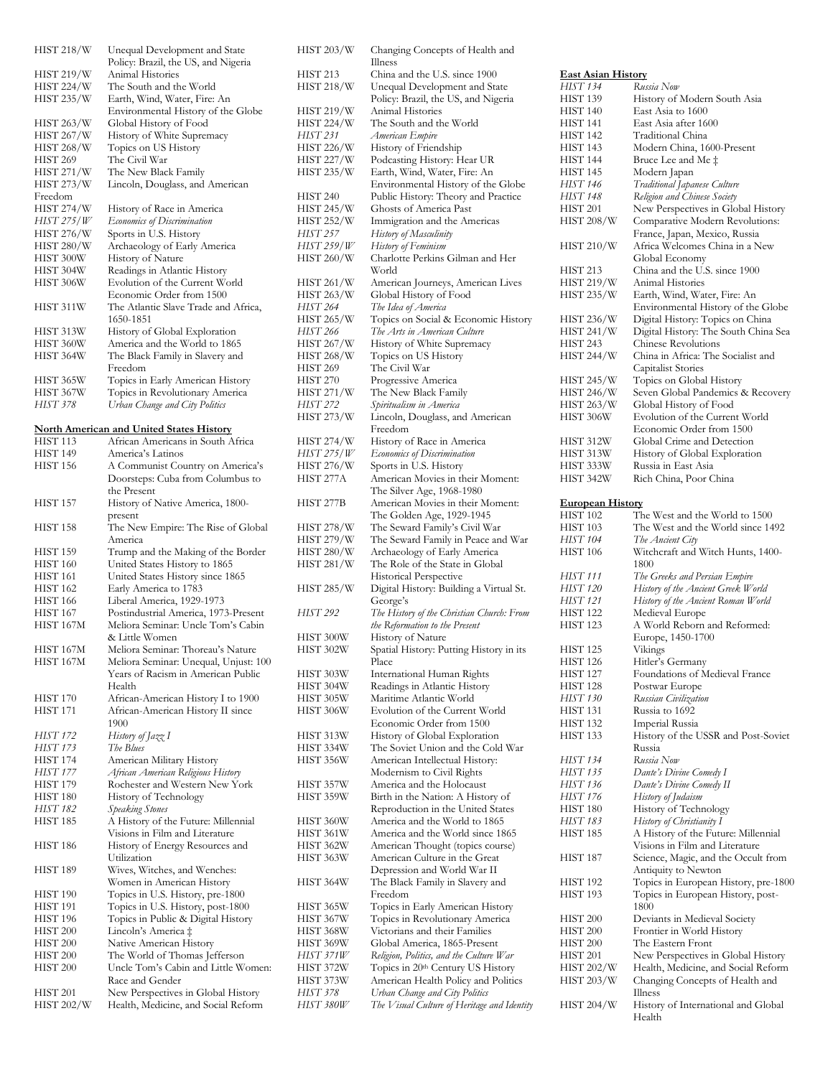| <b>HIST 218/W</b> | Unequal Development and State        |
|-------------------|--------------------------------------|
|                   | Policy: Brazil, the US, and Nigeria  |
| <b>HIST 219/W</b> | Animal Histories                     |
| <b>HIST 224/W</b> | The South and the World              |
| <b>HIST 235/W</b> | Earth, Wind, Water, Fire: An         |
|                   | Environmental History of the Globe   |
| <b>HIST 263/W</b> | Global History of Food               |
| <b>HIST 267/W</b> | History of White Supremacy           |
| <b>HIST 268/W</b> | Topics on US History                 |
| <b>HIST 269</b>   | The Civil War                        |
| <b>HIST 271/W</b> | The New Black Family                 |
| <b>HIST 273/W</b> | Lincoln, Douglass, and American      |
| Freedom           |                                      |
| <b>HIST 274/W</b> | History of Race in America           |
| HIST 275/W        | Economics of Discrimination          |
| <b>HIST 276/W</b> | Sports in U.S. History               |
| <b>HIST 280/W</b> | Archaeology of Early America         |
| HIST 300W         | History of Nature                    |
| HIST 304W         | Readings in Atlantic History         |
| HIST 306W         | Evolution of the Current World       |
|                   | Economic Order from 1500             |
| HIST 311W         | The Atlantic Slave Trade and Africa, |
|                   | 1650-1851                            |
| HIST 313W         | History of Global Exploration        |
| HIST 360W         | America and the World to 1865        |
| HIST 364W         | The Black Family in Slavery and      |
|                   | Freedom                              |
| HIST 365W         | Topics in Early American History     |
| HIST 367W         | Topics in Revolutionary America      |
| <b>HIST 378</b>   | Urban Change and City Politics       |

### **North American and United States History**

| <b>HIST 113</b>      | African Americans in South Africa                               |
|----------------------|-----------------------------------------------------------------|
| HIST 149             | America's Latinos                                               |
| <b>HIST 156</b>      | A Communist Country on America's                                |
|                      | Doorsteps: Cuba from Columbus to                                |
|                      | the Present                                                     |
| <b>HIST 157</b>      | History of Native America, 1800-                                |
|                      | present                                                         |
| <b>HIST 158</b>      | The New Empire: The Rise of Global                              |
|                      | America                                                         |
| HIST 159             | Trump and the Making of the Border                              |
| <b>HIST 160</b>      | United States History to 1865                                   |
| <b>HIST 161</b>      | United States History since 1865                                |
| <b>HIST 162</b>      | Early America to 1783                                           |
| <b>HIST 166</b>      | Liberal America, 1929-1973                                      |
| <b>HIST 167</b>      | Postindustrial America, 1973-Present                            |
| HIST 167M            | Meliora Seminar: Uncle Tom's Cabin                              |
|                      | & Little Women                                                  |
| HIST 167M            | Meliora Seminar: Thoreau's Nature                               |
| HIST 167M            | Meliora Seminar: Unequal, Unjust: 100                           |
|                      | Years of Racism in American Public                              |
|                      | Health                                                          |
| <b>HIST 170</b>      | African-American History I to 1900                              |
| <b>HIST 171</b>      | African-American History II since                               |
|                      | 1900                                                            |
| HIST 172             | History of Jazz I                                               |
| <b>HIST 173</b>      | The Blues                                                       |
| HIST 174<br>HIST 177 | American Military History<br>African American Religious History |
| HIST 179             | Rochester and Western New York                                  |
| HIST 180             | History of Technology                                           |
| <b>HIST 182</b>      | <b>Speaking Stones</b>                                          |
| HIST 185             | A History of the Future: Millennial                             |
|                      | Visions in Film and Literature                                  |
| <b>HIST 186</b>      | History of Energy Resources and                                 |
|                      | Utilization                                                     |
| HIST 189             | Wives, Witches, and Wenches:                                    |
|                      | Women in American History                                       |
| HIST 190             | Topics in U.S. History, pre-1800                                |
| HIST 191             | Topics in U.S. History, post-1800                               |
| HIST <sub>196</sub>  | Topics in Public & Digital History                              |
| HIST <sub>200</sub>  | Lincoln's America ‡                                             |
| <b>HIST 200</b>      | Native American History                                         |
| <b>HIST 200</b>      | The World of Thomas Jefferson                                   |
| HIST <sub>200</sub>  | Uncle Tom's Cabin and Little Women:                             |
|                      | Race and Gender                                                 |
| <b>HIST 201</b>      | New Perspectives in Global History                              |
| <b>HIST 202/W</b>    | Health, Medicine, and Social Reform                             |
|                      |                                                                 |

| HIST 203/W               | Changing Concepts of Health and                                         |
|--------------------------|-------------------------------------------------------------------------|
| HIST 213                 | Illness<br>China and the U.S. since 1900                                |
| HIST 218/W               | Unequal Development and State                                           |
|                          | Policy: Brazil, the US, and Nigeria                                     |
| HIST 219/W               | Animal Histories                                                        |
| HIST 224/W               | The South and the World                                                 |
| HIST 231                 | American Empire                                                         |
| HIST 226/W               | History of Friendship                                                   |
| HIST 227/W               | Podcasting History: Hear UR                                             |
| HIST 235/W               | Earth, Wind, Water, Fire: An                                            |
|                          | Environmental History of the Globe                                      |
| HIST 240                 | Public History: Theory and Practice                                     |
| HIST 245/W<br>HIST 252/W | Ghosts of America Past                                                  |
| HIST 257                 | Immigration and the Americas<br>History of Masculinity                  |
| HIST 259/W               | History of Feminism                                                     |
| HIST 260/W               | Charlotte Perkins Gilman and Her                                        |
|                          | World                                                                   |
| HIST 261/W               | American Journeys, American Lives                                       |
| HIST 263/W               | Global History of Food                                                  |
| HIST 264                 | The Idea of America                                                     |
| HIST 265/W               | Topics on Social & Economic History                                     |
| HIST 266                 | The Arts in American Culture                                            |
| HIST 267/W               | History of White Supremacy                                              |
| HIST 268/W               | Topics on US History                                                    |
| HIST 269                 | The Civil War                                                           |
| HIST 270                 | Progressive America                                                     |
| HIST 271/W               | The New Black Family                                                    |
| HIST 272<br>HIST 273/W   | Spiritualism in America<br>Lincoln, Douglass, and American              |
|                          | Freedom                                                                 |
| HIST 274/W               | History of Race in America                                              |
| HIST 275/W               | Economics of Discrimination                                             |
| HIST 276/W               | Sports in U.S. History                                                  |
| HIST 277A                | American Movies in their Moment:                                        |
|                          | The Silver Age, 1968-1980                                               |
| HIST 277B                | American Movies in their Moment:                                        |
|                          | The Golden Age, 1929-1945                                               |
| HIST 278/W               | The Seward Family's Civil War                                           |
| HIST 279/W               | The Seward Family in Peace and War                                      |
| HIST 280/W               | Archaeology of Early America                                            |
| HIST 281/W               | The Role of the State in Global                                         |
|                          | Historical Perspective                                                  |
| HIST 285/W               | Digital History: Building a Virtual St.                                 |
| HIST 292                 | George's<br>The History of the Christian Church: From                   |
|                          | the Reformation to the Present                                          |
| HIST 300W                | History of Nature                                                       |
| HIST 302W                | Spatial History: Putting History in its                                 |
|                          | Place                                                                   |
| HIST 303W                | International Human Rights                                              |
| HIST 304W                | Readings in Atlantic History                                            |
| HIST 305W                | Maritime Atlantic World                                                 |
| HIST 306W                | Evolution of the Current World                                          |
|                          | Economic Order from 1500                                                |
| HIST 313W                | History of Global Exploration                                           |
| HIST 334W                | The Soviet Union and the Cold War                                       |
| HIST 356W                | American Intellectual History:                                          |
| HIST 357W                | Modernism to Civil Rights<br>America and the Holocaust                  |
| HIST 359W                | Birth in the Nation: A History of                                       |
|                          | Reproduction in the United States                                       |
| HIST 360W                | America and the World to 1865                                           |
| HIST 361W                | America and the World since 1865                                        |
| HIST 362W                | American Thought (topics course)                                        |
| HIST 363W                | American Culture in the Great                                           |
|                          | Depression and World War II                                             |
| HIST 364W                | The Black Family in Slavery and                                         |
|                          | Freedom                                                                 |
| HIST 365W                | Topics in Early American History                                        |
| HIST 367W                | Topics in Revolutionary America                                         |
| HIST 368W                | Victorians and their Families                                           |
| HIST 369W<br>HIST 371W   | Global America, 1865-Present<br>Religion, Politics, and the Culture War |
| HIST 372W                | Topics in 20th Century US History                                       |
| HIST 373W                | American Health Policy and Politics                                     |
| HIST 378                 | Urban Change and City Politics                                          |
|                          |                                                                         |
| HIST 380W                | The Visual Culture of Heritage and Identity                             |

| <b>East Asian History</b> |                                      |
|---------------------------|--------------------------------------|
| HIST 134                  | Russia Now                           |
| HIST 139                  | History of Modern South Asia         |
| HIST 140                  | East Asia to 1600                    |
| HIST 141                  | East Asia after 1600                 |
| HIST 142                  | Traditional China                    |
| HIST 143                  | Modern China, 1600-Present           |
| HIST 144                  | Bruce Lee and Me ‡                   |
| HIST 145                  |                                      |
|                           | Modern Japan                         |
| HIST 146                  | Traditional Japanese Culture         |
| HIST 148                  | Religion and Chinese Society         |
| HIST 201                  | New Perspectives in Global History   |
| HIST 208/W                | Comparative Modern Revolutions:      |
|                           | France, Japan, Mexico, Russia        |
| HIST 210/W                | Africa Welcomes China in a New       |
|                           | Global Economy                       |
| <b>HIST 213</b>           | China and the U.S. since 1900        |
| HIST 219/W                | Animal Histories                     |
| <b>HIST 235/W</b>         | Earth, Wind, Water, Fire: An         |
|                           | Environmental History of the Globe   |
| HIST 236/W                | Digital History: Topics on China     |
| <b>HIST 241/W</b>         |                                      |
|                           | Digital History: The South China Sea |
| HIST 243                  | Chinese Revolutions                  |
| HIST 244/W                | China in Africa: The Socialist and   |
|                           | Capitalist Stories                   |
| <b>HIST 245/W</b>         | Topics on Global History             |
| <b>HIST 246/W</b>         | Seven Global Pandemics & Recovery    |
| HIST 263/W                | Global History of Food               |
| HIST 306W                 | Evolution of the Current World       |
|                           | Economic Order from 1500             |
| HIST 312W                 | Global Crime and Detection           |
| HIST 313W                 | History of Global Exploration        |
| HIST 333W                 | Russia in East Asia                  |
| HIST 342W                 | Rich China, Poor China               |
|                           |                                      |
|                           |                                      |
| <b>European History</b>   |                                      |
| HIST 102                  | The West and the World to 1500       |
| HIST 103                  | The West and the World since 1492    |
| HIST 104                  | The Ancient City                     |
| HIST 106                  | Witchcraft and Witch Hunts, 1400-    |
|                           | 1800                                 |
| HIST 111                  | The Greeks and Persian Empire        |
| HIST 120                  | History of the Ancient Greek World   |
| HIST 121                  | History of the Ancient Roman World   |
| HIST 122                  | Medieval Europe                      |
| HIST 123                  | A World Reborn and Reformed:         |
|                           | Europe, 1450-1700                    |
| <b>HIST 125</b>           | Vikings                              |
| HIST 126                  | Hitler's Germany                     |
| <b>HIST 127</b>           | Foundations of Medieval France       |
|                           |                                      |
| HIST 128                  | Postwar Europe                       |
| HIST 130                  | Russian Civilization                 |
| <b>HIST 131</b>           | Russia to 1692                       |
| <b>HIST 132</b>           | Imperial Russia                      |
| HIST 133                  | History of the USSR and Post-Soviet  |
|                           | Russia                               |
| HIST 134                  | Russia Now                           |
| HIST 135                  | Dante's Divine Comedy I              |
| HIST 136                  | Dante's Divine Comedy II             |
| HIST 176                  | History of Judaism                   |
| HIST 180                  | History of Technology                |
| HIST 183                  | History of Christianity I            |
| HIST 185                  | A History of the Future: Millennial  |
|                           | <b>AT:</b> .:<br>1. DI.              |

| <b>HIST 185</b>   | A History of the Future: Millennial  |
|-------------------|--------------------------------------|
|                   | Visions in Film and Literature       |
| <b>HIST 187</b>   | Science, Magic, and the Occult from  |
|                   | Antiquity to Newton                  |
| <b>HIST 192</b>   | Topics in European History, pre-1800 |
| <b>HIST 193</b>   | Topics in European History, post-    |
|                   | 1800                                 |
| <b>HIST 200</b>   | Deviants in Medieval Society         |
| <b>HIST 200</b>   | Frontier in World History            |
| <b>HIST 200</b>   | The Eastern Front                    |
| <b>HIST 201</b>   | New Perspectives in Global History   |
| <b>HIST 202/W</b> | Health, Medicine, and Social Reform  |
| <b>HIST 203/W</b> | Changing Concepts of Health and      |
|                   | Illness                              |
| <b>HIST 204/W</b> | History of International and Global  |
|                   | Health                               |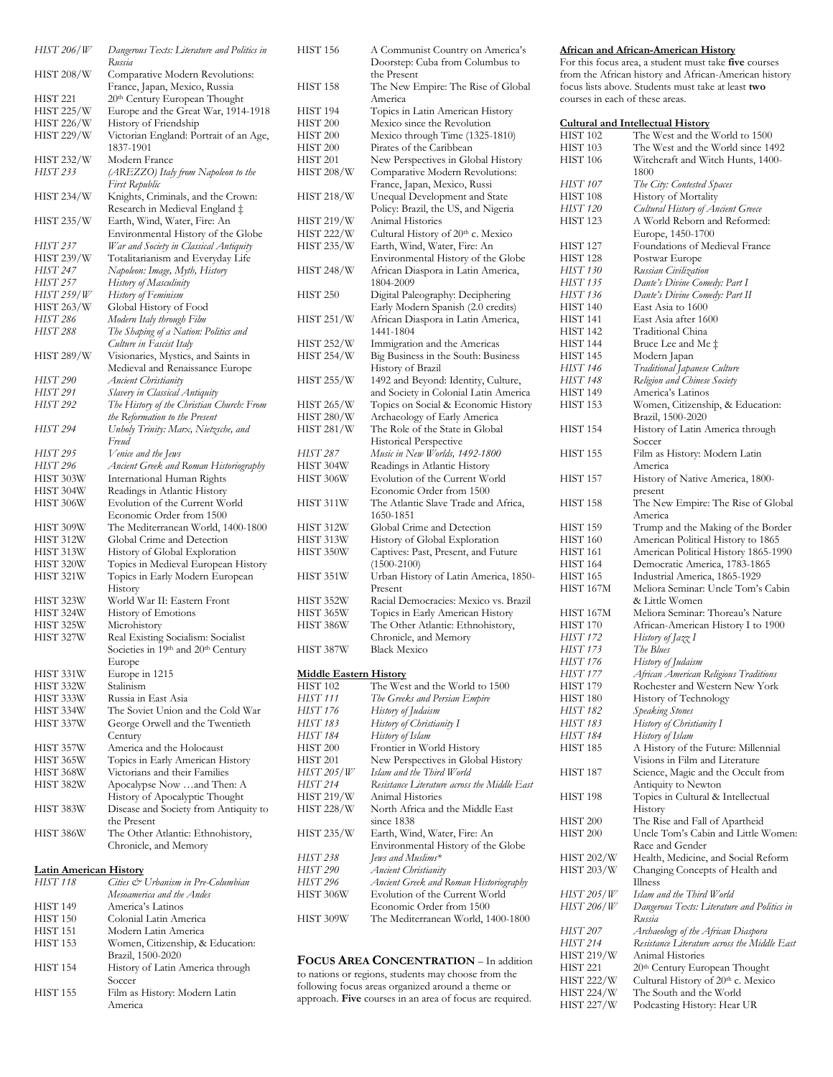| HIST 206/W      | Dangerous Texts: Literature and Politics in |
|-----------------|---------------------------------------------|
|                 | Russia                                      |
| HIST 208/W      | Comparative Modern Revolutions:             |
|                 | France, Japan, Mexico, Russia               |
| <b>HIST 221</b> | 20 <sup>th</sup> Century European Thought   |
| HIST 225/W      | Europe and the Great War, 1914-1918         |
| HIST 226/W      | History of Friendship                       |
| HIST 229/W      | Victorian England: Portrait of an Age,      |
|                 | 1837-1901                                   |
| HIST 232/W      | Modern France                               |
| HIST 233        | (AREZZO) Italy from Napoleon to the         |
|                 | First Republic                              |
|                 |                                             |
| HIST 234/W      | Knights, Criminals, and the Crown:          |
|                 | Research in Medieval England ‡              |
| HIST 235/W      | Earth, Wind, Water, Fire: An                |
|                 | Environmental History of the Globe          |
| HIST 237        | War and Society in Classical Antiquity      |
| HIST 239/W      | Totalitarianism and Everyday Life           |
| HIST 247        | Napoleon: Image, Myth, History              |
|                 |                                             |
| HIST 257        | History of Masculinity                      |
| HIST 259/W      | History of Feminism                         |
| HIST 263/W      | Global History of Food                      |
| HIST 286        | Modern Italy through Film                   |
| HIST 288        | The Shaping of a Nation: Politics and       |
|                 | Culture in Fascist Italy                    |
| HIST 289/W      | Visionaries, Mystics, and Saints in         |
|                 | Medieval and Renaissance Europe             |
|                 |                                             |
| HIST 290        | Ancient Christianity                        |
| HIST 291        | Slavery in Classical Antiquity              |
| HIST 292        | The History of the Christian Church: From   |
|                 | the Reformation to the Present              |
| HIST 294        | Unholy Trinity: Marx, Nietzsche, and        |
|                 | Freud                                       |
| HIST 295        | Venice and the Jews                         |
| HIST 296        | Ancient Greek and Roman Historiography      |
|                 |                                             |
| HIST 303W       | International Human Rights                  |
| HIST 304W       | Readings in Atlantic History                |
| HIST 306W       | Evolution of the Current World              |
|                 | Economic Order from 1500                    |
| HIST 309W       | The Mediterranean World, 1400-1800          |
| HIST 312W       | Global Crime and Detection                  |
| HIST 313W       | History of Global Exploration               |
| HIST 320W       | Topics in Medieval European History         |
|                 |                                             |
| HIST 321W       | Topics in Early Modern European             |
|                 | History                                     |
| HIST 323W       | World War II: Eastern Front                 |
| HIST 324W       | History of Emotions                         |
| HIST 325W       | Microhistory                                |
| HIST 327W       | Real Existing Socialism: Socialist          |
|                 | Societies in 19th and 20th Century          |
|                 | Europe                                      |
| HIST 331W       | Europe in 1215                              |
|                 | Stalinism                                   |
| HIST 332W       |                                             |
| HIST 333W       | Russia in East Asia                         |
| HIST 334W       | The Soviet Union and the Cold War           |
| HIST 337W       | George Orwell and the Twentieth             |
|                 | Century                                     |
| HIST 357W       | America and the Holocaust                   |
| HIST 365W       | Topics in Early American History            |
| HIST 368W       | Victorians and their Families               |
|                 |                                             |
| HIST 382W       | Apocalypse Now and Then: A                  |
|                 | History of Apocalyptic Thought              |
| HIST 383W       | Disease and Society from Antiquity to       |
|                 | the Present                                 |
| HIST 386W       | The Other Atlantic: Ethnohistory,           |
|                 | Chronicle, and Memory                       |
|                 |                                             |

## **Latin American History**

| Cities & Urbanism in Pre-Columbian |
|------------------------------------|
| Mesoamerica and the Andes          |
| America's Latinos                  |
| Colonial Latin America             |
| Modern Latin America               |
| Women, Citizenship, & Education:   |
| Brazil, 1500-2020                  |
| History of Latin America through   |
| Soccer                             |
| Film as History: Modern Latin      |
| America                            |
|                                    |

| HIST 156                      | A Communist Country on America's      |
|-------------------------------|---------------------------------------|
|                               | Doorstep: Cuba from Columbus to       |
|                               | the Present                           |
| <b>HIST 158</b>               | The New Empire: The Rise of Global    |
|                               | America                               |
| HIST 194                      | Topics in Latin American History      |
| <b>HIST 200</b>               | Mexico since the Revolution           |
| <b>HIST 200</b>               | Mexico through Time (1325-1810)       |
| <b>HIST 200</b>               | Pirates of the Caribbean              |
| HIST 201                      | New Perspectives in Global History    |
| HIST 208/W                    | Comparative Modern Revolutions:       |
|                               | France, Japan, Mexico, Russi          |
| <b>HIST 218/W</b>             | Unequal Development and State         |
|                               | Policy: Brazil, the US, and Nigeria   |
| HIST 219/W                    | Animal Histories                      |
| HIST 222/W                    | Cultural History of 20th c. Mexico    |
| <b>HIST 235/W</b>             | Earth, Wind, Water, Fire: An          |
|                               | Environmental History of the Globe    |
|                               |                                       |
| HIST 248/W                    | African Diaspora in Latin America,    |
|                               | 1804-2009                             |
| <b>HIST 250</b>               | Digital Paleography: Deciphering      |
|                               | Early Modern Spanish (2.0 credits)    |
| HIST 251/W                    | African Diaspora in Latin America,    |
|                               | 1441-1804                             |
| <b>HIST 252/W</b>             | Immigration and the Americas          |
| HIST 254/W                    | Big Business in the South: Business   |
|                               | History of Brazil                     |
| HIST 255/W                    | 1492 and Beyond: Identity, Culture,   |
|                               | and Society in Colonial Latin America |
| HIST 265/W                    | Topics on Social & Economic History   |
| <b>HIST 280/W</b>             | Archaeology of Early America          |
| HIST 281/W                    | The Role of the State in Global       |
|                               | <b>Historical Perspective</b>         |
| HIST 287                      | Music in New Worlds, 1492-1800        |
| HIST 304W                     | Readings in Atlantic History          |
| HIST 306W                     | Evolution of the Current World        |
|                               | Economic Order from 1500              |
| HIST 311W                     | The Atlantic Slave Trade and Africa,  |
|                               | 1650-1851                             |
| HIST 312W                     | Global Crime and Detection            |
| HIST 313W                     | History of Global Exploration         |
| HIST 350W                     | Captives: Past, Present, and Future   |
|                               | $(1500-2100)$                         |
| HIST 351W                     | Urban History of Latin America, 1850- |
|                               | Present                               |
| HIST 352W                     | Racial Democracies: Mexico vs. Brazil |
| HIST 365W                     | Topics in Early American History      |
| HIST 386W                     | The Other Atlantic: Ethnohistory,     |
|                               | Chronicle, and Memory                 |
| HIST 387W                     | Black Mexico                          |
|                               |                                       |
| <b>Middle Eastern History</b> |                                       |
| <b>HIST 102</b>               | The West and the World to 1500        |
| HIST 111                      | The Greeks and Persian Empire         |
| HIST 176                      | History of Judaism                    |
| HIST 183                      | History of Christianity I             |
| HIST 184                      | History of Islam                      |
| HIST <sub>200</sub>           | Frontier in World History             |
| <b>HIST 201</b>               | New Perspectives in Global History    |
| HIST 205/W                    | Islam and the Third World             |
|                               |                                       |

| HIST 200        | Frontier in World History                    |
|-----------------|----------------------------------------------|
| <b>HIST 201</b> | New Perspectives in Global History           |
| HIST 205/W      | Islam and the Third World                    |
| HIST 214        | Resistance Literature across the Middle East |
| HIST 219/W      | Animal Histories                             |
| HIST 228/W      | North Africa and the Middle East             |
|                 | since 1838                                   |
| HIST 235/W      | Earth, Wind, Water, Fire: An                 |
|                 | Environmental History of the Globe           |
| HIST 238        | Jews and Muslims*                            |
| HIST 290        | <b>Ancient Christianity</b>                  |
| HIST 296        | Ancient Greek and Roman Historiography       |
| HIST 306W       | Evolution of the Current World               |
|                 | Economic Order from 1500                     |
|                 |                                              |

# **FOCUS AREA CONCENTRATION** – In addition

HIST 309W The Mediterranean World, 1400-1800

to nations or regions, students may choose from the following focus areas organized around a theme or approach. **Five** courses in an area of focus are required.

### **African and African-American History**

For this focus area, a student must take **five** courses from the African history and African-American history focus lists above. Students must take at least **two** courses in each of these areas.

| <b>Cultural and Intellectual History</b> |                                              |  |
|------------------------------------------|----------------------------------------------|--|
| HIST 102                                 | The West and the World to 1500               |  |
| <b>HIST 103</b>                          | The West and the World since 1492            |  |
| <b>HIST 106</b>                          | Witchcraft and Witch Hunts, 1400-            |  |
|                                          | 1800                                         |  |
| HIST 107                                 | The City: Contested Spaces                   |  |
| <b>HIST 108</b>                          | History of Mortality                         |  |
| <b>HIST 120</b>                          | Cultural History of Ancient Greece           |  |
| <b>HIST 123</b>                          | A World Reborn and Reformed:                 |  |
|                                          | Europe, 1450-1700                            |  |
| HIST 127                                 | Foundations of Medieval France               |  |
| <b>HIST 128</b>                          | Postwar Europe                               |  |
| <b>HIST 130</b>                          | Russian Civilization                         |  |
| HIST 135                                 | Dante's Divine Comedy: Part I                |  |
| HIST 136                                 | Dante's Divine Comedy: Part II               |  |
| <b>HIST 140</b>                          | East Asia to 1600                            |  |
| <b>HIST 141</b>                          | East Asia after 1600                         |  |
| <b>HIST 142</b>                          | Traditional China                            |  |
| HIST 144                                 | Bruce Lee and Me ‡                           |  |
| <b>HIST 145</b>                          | Modern Japan                                 |  |
| HIST 146                                 | Traditional Japanese Culture                 |  |
| HIST 148                                 | Religion and Chinese Society                 |  |
| <b>HIST 149</b>                          | America's Latinos                            |  |
| <b>HIST 153</b>                          | Women, Citizenship, & Education:             |  |
|                                          | Brazil, 1500-2020                            |  |
| HIST 154                                 | History of Latin America through             |  |
|                                          | Soccer                                       |  |
| <b>HIST 155</b>                          | Film as History: Modern Latin                |  |
|                                          | America                                      |  |
| HIST 157                                 | History of Native America, 1800-             |  |
|                                          | present                                      |  |
| HIST 158                                 | The New Empire: The Rise of Global           |  |
|                                          | America                                      |  |
| HIST 159                                 | Trump and the Making of the Border           |  |
| <b>HIST 160</b>                          | American Political History to 1865           |  |
| <b>HIST 161</b>                          | American Political History 1865-1990         |  |
| <b>HIST 164</b>                          | Democratic America, 1783-1865                |  |
| <b>HIST 165</b>                          | Industrial America, 1865-1929                |  |
| HIST 167M                                | Meliora Seminar: Uncle Tom's Cabin           |  |
|                                          | & Little Women                               |  |
| HIST 167M                                | Meliora Seminar: Thoreau's Nature            |  |
| <b>HIST 170</b>                          | African-American History I to 1900           |  |
| HIST 172                                 | History of Jazz I                            |  |
| HIST 173                                 | The Blues                                    |  |
| HIST 176                                 | History of Judaism                           |  |
| <i>HIST 177</i>                          | African American Religious Traditions        |  |
| HIST 179                                 | Rochester and Western New York               |  |
| HIST <sub>180</sub>                      | History of Technology                        |  |
| HIST 182                                 | Speaking Stones                              |  |
| HIST 183                                 | History of Christianity I                    |  |
| HIST 184                                 | History of Islam                             |  |
| <b>HIST 185</b>                          | A History of the Future: Millennial          |  |
|                                          | Visions in Film and Literature               |  |
| HIST 187                                 | Science, Magic and the Occult from           |  |
| HIST <sub>198</sub>                      | Antiquity to Newton                          |  |
|                                          | Topics in Cultural & Intellectual            |  |
| HIST 200                                 | History<br>The Rise and Fall of Apartheid    |  |
| HIST <sub>200</sub>                      | Uncle Tom's Cabin and Little Women:          |  |
|                                          | Race and Gender                              |  |
| HIST 202/W                               | Health, Medicine, and Social Reform          |  |
| HIST 203/W                               | Changing Concepts of Health and              |  |
|                                          | Illness                                      |  |
| HIST 205/W                               | Islam and the Third World                    |  |
| HIST 206/W                               | Dangerous Texts: Literature and Politics in  |  |
|                                          | Russia                                       |  |
| <i>HIST 207</i>                          | Archaeology of the African Diaspora          |  |
| HIST 214                                 | Resistance Literature across the Middle East |  |
| <b>HIST 219/W</b>                        | Animal Histories                             |  |
| HIST 221                                 | 20th Century European Thought                |  |
| HIST 222/W                               | Cultural History of 20th c. Mexico           |  |
| <b>HIST 224/W</b>                        | The South and the World                      |  |
| HIST 227/W                               | Podcasting History: Hear UR                  |  |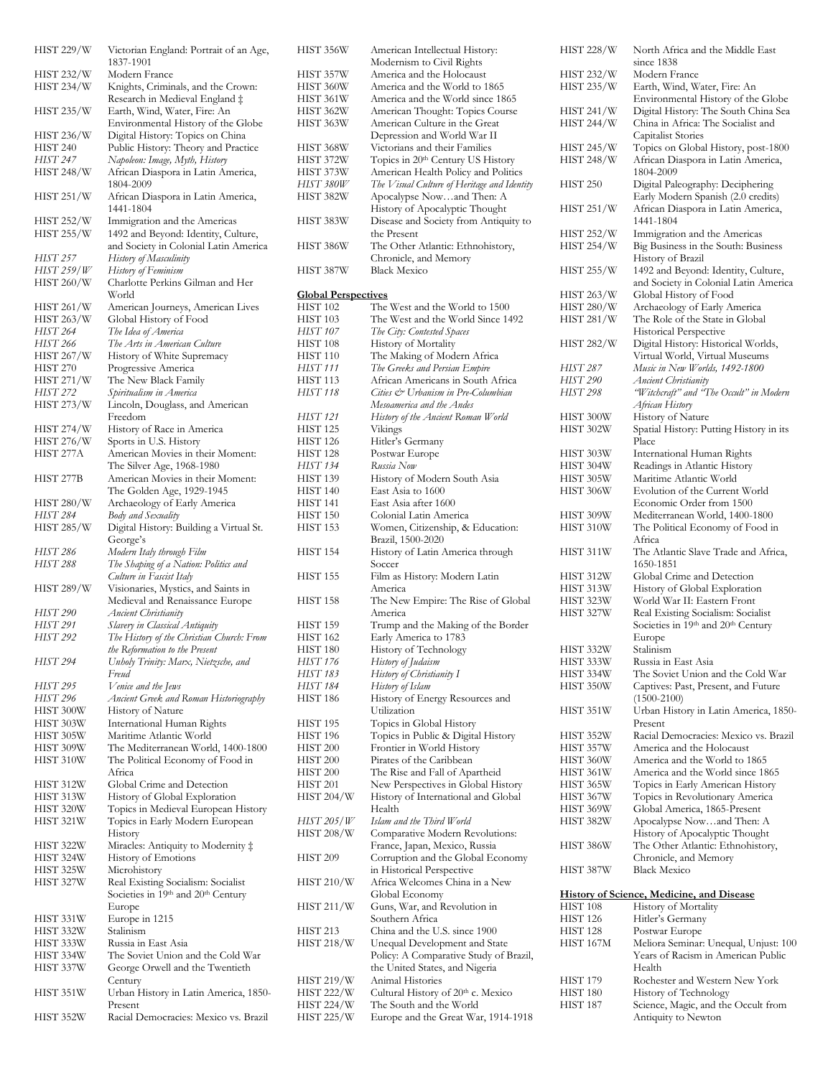| HIST 229/W             | Victorian England: Portrait of an Age,<br>1837-1901                |
|------------------------|--------------------------------------------------------------------|
| HIST 232/W             | Modern France                                                      |
| <b>HIST 234/W</b>      | Knights, Criminals, and the Crown:                                 |
|                        | Research in Medieval England ‡                                     |
| HIST 235/W             | Earth, Wind, Water, Fire: An<br>Environmental History of the Globe |
| HIST 236/W             | Digital History: Topics on China                                   |
| <b>HIST 240</b>        | Public History: Theory and Practice                                |
| HIST 247               | Napoleon: Image, Myth, History                                     |
| HIST 248/W             | African Diaspora in Latin America,                                 |
|                        | 1804-2009                                                          |
| <b>HIST 251/W</b>      | African Diaspora in Latin America,<br>1441-1804                    |
| HIST 252/W             | Immigration and the Americas                                       |
| HIST 255/W             | 1492 and Beyond: Identity, Culture,                                |
|                        | and Society in Colonial Latin America                              |
| HIST 257               | History of Masculinity                                             |
| <i>HIST 259/W</i>      | History of Feminism                                                |
| HIST 260/W             | Charlotte Perkins Gilman and Her<br>World                          |
| HIST 261/W             | American Journeys, American Lives                                  |
| HIST 263/W             | Global History of Food                                             |
| HIST 264               | The Idea of America                                                |
| HIST 266               | The Arts in American Culture                                       |
| HIST 267/W             | History of White Supremacy                                         |
| <b>HIST 270</b>        | Progressive America                                                |
| HIST 271/W             | The New Black Family                                               |
| HIST 272               | Spiritualism in America                                            |
| HIST 273/W             | Lincoln, Douglass, and American                                    |
| HIST 274/W             | Freedom<br>History of Race in America                              |
| HIST 276/W             | Sports in U.S. History                                             |
| HIST 277A              | American Movies in their Moment:                                   |
|                        | The Silver Age, 1968-1980                                          |
| HIST 277B              | American Movies in their Moment:                                   |
|                        | The Golden Age, 1929-1945                                          |
| HIST 280/W             | Archaeology of Early America                                       |
| HIST 284               | Body and Sexuality                                                 |
| HIST 285/W             | Digital History: Building a Virtual St.                            |
|                        | George's                                                           |
| HIST 286               | Modern Italy through Film                                          |
| HIST 288               | The Shaping of a Nation: Politics and<br>Culture in Fascist Italy  |
| HIST 289/W             | Visionaries, Mystics, and Saints in                                |
|                        | Medieval and Renaissance Europe                                    |
| HIST 290               | Ancient Christianity                                               |
| HIST 291               | Slavery in Classical Antiquity                                     |
| HIST 292               | The History of the Christian Church: From                          |
|                        | the Reformation to the Present                                     |
| HIST 294               | Unholy Trinity: Marx, Nietzsche, and<br>Freud                      |
| <b>HIST 295</b>        | Venice and the Jews                                                |
| HIST 296               | Ancient Greek and Roman Historiography                             |
| HIST 300W              | History of Nature                                                  |
| HIST 303W              | International Human Rights                                         |
| HIST 305W              | Maritime Atlantic World                                            |
| HIST 309W              | The Mediterranean World, 1400-1800                                 |
| HIST 310W              | The Political Economy of Food in                                   |
|                        | Africa                                                             |
| HIST 312W<br>HIST 313W | Global Crime and Detection<br>History of Global Exploration        |
| HIST 320W              | Topics in Medieval European History                                |
| <b>HIST 321W</b>       | Topics in Early Modern European                                    |
|                        | History                                                            |
| HIST 322W              | Miracles: Antiquity to Modernity ‡                                 |
| HIST 324W              | History of Emotions                                                |
| HIST 325W              | Microhistory                                                       |
| HIST 327W              | Real Existing Socialism: Socialist                                 |
|                        | Societies in 19th and 20th Century                                 |
|                        | Europe                                                             |
| HIST 331W<br>HIST 332W | Europe in 1215<br>Stalinism                                        |
| HIST 333W              | Russia in East Asia                                                |
| HIST 334W              | The Soviet Union and the Cold War                                  |
| HIST 337W              | George Orwell and the Twentieth                                    |
|                        | Century                                                            |
| HIST 351W              | Urban History in Latin America, 1850-                              |
|                        | Present                                                            |
| HIST 352W              | Racial Democracies: Mexico vs. Brazil                              |

| HIST 356W                                     | American Intellectual History:<br>Modernism to Civil Rights        |
|-----------------------------------------------|--------------------------------------------------------------------|
| HIST 357W                                     | America and the Holocaust                                          |
| HIST 360W                                     | America and the World to 1865                                      |
| HIST 361W                                     | America and the World since 1865                                   |
| HIST 362W                                     | American Thought: Topics Course                                    |
| HIST 363W                                     | American Culture in the Great                                      |
|                                               | Depression and World War II                                        |
| HIST 368W<br>HIST 372W                        | Victorians and their Families<br>Topics in 20th Century US History |
| HIST 373W                                     | American Health Policy and Politics                                |
| HIST 380W                                     | The Visual Culture of Heritage and Identity                        |
| HIST 382W                                     | Apocalypse Nowand Then: A                                          |
|                                               | History of Apocalyptic Thought                                     |
| HIST 383W                                     | Disease and Society from Antiquity to<br>the Present               |
| HIST 386W                                     | The Other Atlantic: Ethnohistory,                                  |
| HIST 387W                                     | Chronicle, and Memory<br><b>Black Mexico</b>                       |
|                                               |                                                                    |
| <b>Global Perspectives</b><br><b>HIST 102</b> | The West and the World to 1500                                     |
| <b>HIST 103</b>                               | The West and the World Since 1492                                  |
| HIST 107                                      | The City: Contested Spaces                                         |
| <b>HIST 108</b>                               | History of Mortality                                               |
| <b>HIST 110</b>                               | The Making of Modern Africa                                        |
| HIST 111                                      | The Greeks and Persian Empire                                      |
| <b>HIST 113</b>                               | African Americans in South Africa                                  |
| HIST 118                                      | Cities & Urbanism in Pre-Columbian                                 |
|                                               | Mesoamerica and the Andes                                          |
| HIST 121                                      | History of the Ancient Roman World                                 |
| <b>HIST 125</b>                               | Vikings                                                            |
| <b>HIST 126</b>                               | Hitler's Germany                                                   |
| <b>HIST 128</b>                               | Postwar Europe                                                     |
| HIST 134<br><b>HIST 139</b>                   | Russia Now<br>History of Modern South Asia                         |
| <b>HIST 140</b>                               | East Asia to 1600                                                  |
| HIST 141                                      | East Asia after 1600                                               |
| <b>HIST 150</b>                               | Colonial Latin America                                             |
| <b>HIST 153</b>                               | Women, Citizenship, & Education:                                   |
| HIST 154                                      | Brazil, 1500-2020<br>History of Latin America through              |
| <b>HIST 155</b>                               | Soccer<br>Film as History: Modern Latin                            |
| HIST 158                                      | America<br>The New Empire: The Rise of Global                      |
|                                               | America                                                            |
| <b>HIST 159</b>                               | Trump and the Making of the Border                                 |
| <b>HIST 162</b><br>HIST 180                   | Early America to 1783                                              |
| <b>HIST 176</b>                               | History of Technology                                              |
| HIST 183                                      | History of Judaism<br>History of Christianity I                    |
| HIST 184                                      | History of Islam                                                   |
| HIST 186                                      | History of Energy Resources and                                    |
|                                               | Utilization                                                        |
| HIST 195                                      | Topics in Global History                                           |
| HIST 196                                      | Topics in Public & Digital History                                 |
| <b>HIST 200</b>                               | Frontier in World History                                          |
| <b>HIST 200</b>                               | Pirates of the Caribbean                                           |
| HIST 200                                      | The Rise and Fall of Apartheid                                     |
| HIST 201                                      | New Perspectives in Global History                                 |
| HIST 204/W                                    | History of International and Global<br>Health                      |
| <i>HIST 205/W</i>                             | Islam and the Third World                                          |
| HIST 208/W                                    | Comparative Modern Revolutions:<br>France, Japan, Mexico, Russia   |
| <b>HIST 209</b>                               | Corruption and the Global Economy<br>in Historical Perspective     |
| HIST 210/W                                    | Africa Welcomes China in a New<br>Global Economy                   |
| HIST 211/W                                    | Guns, War, and Revolution in<br>Southern Africa                    |
| HIST 213                                      | China and the U.S. since 1900                                      |
| HIST 218/W                                    | Unequal Development and State                                      |
|                                               | Policy: A Comparative Study of Brazil,                             |
|                                               | the United States, and Nigeria                                     |
| HIST 219/W                                    | Animal Histories                                                   |
| HIST 222/W                                    | Cultural History of 20th c. Mexico                                 |
| HIST 224/W                                    | The South and the World                                            |
| HIST 225/W                                    | Europe and the Great War, 1914-1918                                |

| <b>HIST 228/W</b> | North Africa and the Middle East                                           |
|-------------------|----------------------------------------------------------------------------|
|                   | since 1838                                                                 |
| HIST 232/W        | Modern France                                                              |
| HIST 235/W        | Earth, Wind, Water, Fire: An                                               |
|                   | Environmental History of the Globe                                         |
| HIST 241/W        | Digital History: The South China Sea<br>China in Africa: The Socialist and |
| HIST 244/W        | Capitalist Stories                                                         |
| <b>HIST 245/W</b> | Topics on Global History, post-1800                                        |
| HIST 248/W        | African Diaspora in Latin America,                                         |
|                   | 1804-2009                                                                  |
| <b>HIST 250</b>   | Digital Paleography: Deciphering                                           |
|                   | Early Modern Spanish (2.0 credits)                                         |
| HIST 251/W        | African Diaspora in Latin America,                                         |
|                   | 1441-1804                                                                  |
| HIST 252/W        | Immigration and the Americas                                               |
| HIST 254/W        | Big Business in the South: Business                                        |
|                   | History of Brazil                                                          |
| HIST 255/W        | 1492 and Beyond: Identity, Culture,                                        |
|                   | and Society in Colonial Latin America                                      |
| HIST 263/W        | Global History of Food                                                     |
| HIST 280/W        | Archaeology of Early America                                               |
| HIST 281/W        | The Role of the State in Global                                            |
|                   | Historical Perspective                                                     |
| <b>HIST 282/W</b> | Digital History: Historical Worlds,                                        |
|                   | Virtual World, Virtual Museums                                             |
| HIST 287          | Music in New Worlds, 1492-1800                                             |
| HIST 290          | Ancient Christianity                                                       |
| <b>HIST 298</b>   | "Witchcraft" and "The Occult" in Modern                                    |
| HIST 300W         | African History<br>History of Nature                                       |
| HIST 302W         | Spatial History: Putting History in its                                    |
|                   | Place                                                                      |
| HIST 303W         | International Human Rights                                                 |
| HIST 304W         | Readings in Atlantic History                                               |
| HIST 305W         | Maritime Atlantic World                                                    |
| HIST 306W         | Evolution of the Current World                                             |
|                   | Economic Order from 1500                                                   |
| HIST 309W         | Mediterranean World, 1400-1800                                             |
| HIST 310W         | The Political Economy of Food in                                           |
|                   | Africa                                                                     |
| HIST 311W         | The Atlantic Slave Trade and Africa,                                       |
|                   | 1650-1851                                                                  |
| HIST 312W         | Global Crime and Detection                                                 |
| HIST 313W         | History of Global Exploration                                              |
| HIST 323W         | World War II: Eastern Front                                                |
| HIST 327W         | Real Existing Socialism: Socialist                                         |
|                   | Societies in 19th and 20th Century                                         |
| HIST 332W         | Europe<br>Stalinism                                                        |
| HIST 333W         | Russia in East Asia                                                        |
| HIST 334W         | The Soviet Union and the Cold War                                          |
| HIST 350W         | Captives: Past, Present, and Future                                        |
|                   | $(1500 - 2100)$                                                            |
| HIST 351W         | Urban History in Latin America, 1850-                                      |
|                   | Present                                                                    |
| HIST 352W         | Racial Democracies: Mexico vs. Brazil                                      |
| HIST 357W         | America and the Holocaust                                                  |
| HIST 360W         | America and the World to 1865                                              |
| HIST 361W         | America and the World since 1865                                           |
| HIST 365W         | Topics in Early American History                                           |
| HIST 367W         | Topics in Revolutionary America                                            |
| HIST 369W         | Global America, 1865-Present                                               |
| HIST 382W         | Apocalypse Nowand Then: A                                                  |
|                   | History of Apocalyptic Thought                                             |
| HIST 386W         | The Other Atlantic: Ethnohistory,                                          |
|                   | Chronicle, and Memory                                                      |
| HIST 387W         | <b>Black Mexico</b>                                                        |
|                   |                                                                            |

|  | History of Science, Medicine, and Disease |
|--|-------------------------------------------|
|  |                                           |

| HIST 108  | <b>History of Mortality</b>           |
|-----------|---------------------------------------|
| HIST 126  | Hitler's Germany                      |
| HIST 128  | Postwar Europe                        |
| HIST 167M | Meliora Seminar: Unequal, Unjust: 100 |
|           | Years of Racism in American Public    |
|           | Health                                |
| HIST 179  | Rochester and Western New York        |
| HIST 180  | History of Technology                 |
| HIST 187  | Science, Magic, and the Occult from   |
|           | Antiquity to Newton                   |
|           |                                       |